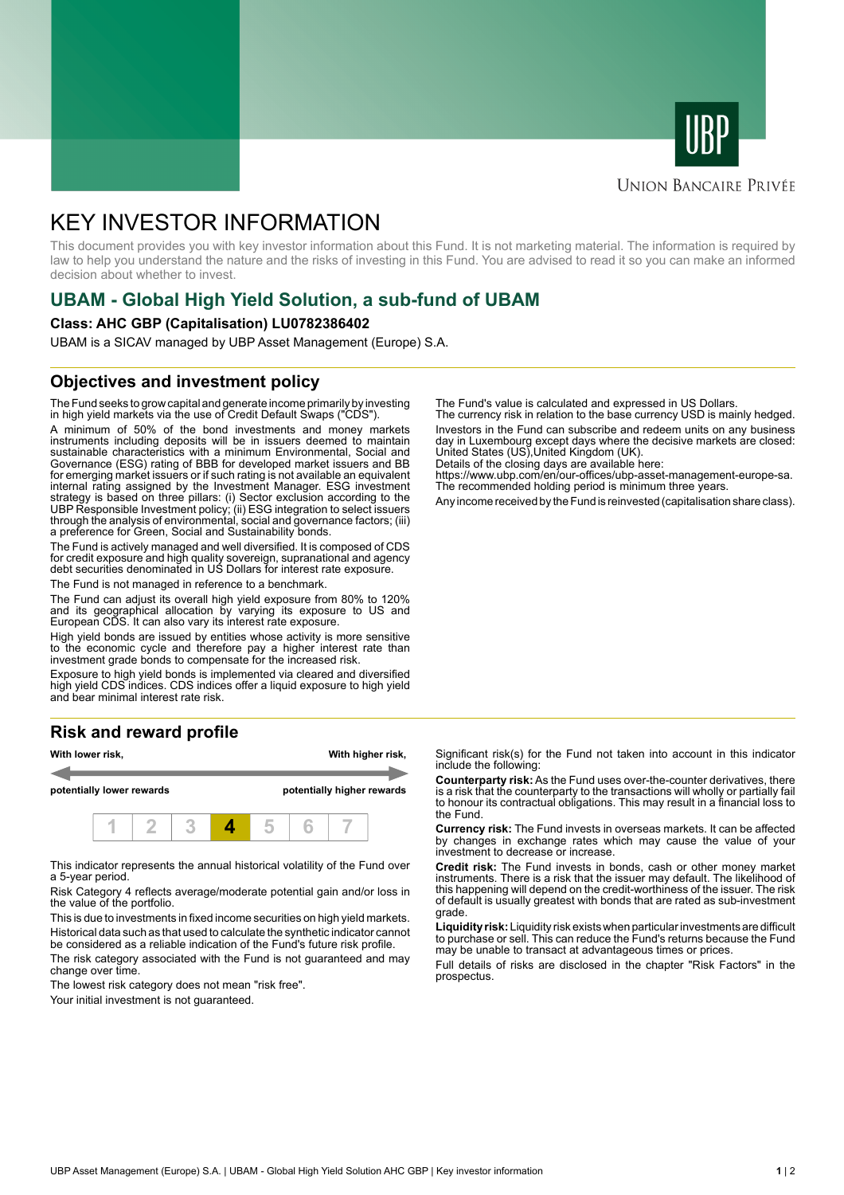



#### **UNION BANCAIRE PRIVÉE**

# KEY INVESTOR INFORMATION

This document provides you with key investor information about this Fund. It is not marketing material. The information is required by law to help you understand the nature and the risks of investing in this Fund. You are advised to read it so you can make an informed decision about whether to invest.

# **UBAM - Global High Yield Solution, a sub-fund of UBAM**

#### **Class: AHC GBP (Capitalisation) LU0782386402**

UBAM is a SICAV managed by UBP Asset Management (Europe) S.A.

### **Objectives and investment policy**

The Fund seeks to grow capital and generate income primarily by investing in high yield markets via the use of Credit Default Swaps ("CDS").

A minimum of 50% of the bond investments and money markets instruments including deposits will be in issuers deemed to maintain sustainable characteristics with a minimum Environmental, Social and Governance (ESG) rating of BBB for developed market issuers and BB for emerging market issuers or if such rating is not available an equivalent internal rating assigned by the Investment Manager. ESG investment strategy is based on three pillars: (i) Sector exclusion according to the UBP Responsible Investment policy; (ii) ESG integration to select issuers through the analysis of environmental, social and governance factors; (iii) a preference for Green, Social and Sustainability bonds.

The Fund is actively managed and well diversified. It is composed of CDS for credit exposure and high quality sovereign, supranational and agency debt securities denominated in US Dollars for interest rate exposure.

The Fund is not managed in reference to a benchmark.

The Fund can adjust its overall high yield exposure from 80% to 120% and its geographical allocation by varying its exposure to US and European CDS. It can also vary its interest rate exposure.

High yield bonds are issued by entities whose activity is more sensitive to the economic cycle and therefore pay a higher interest rate than investment grade bonds to compensate for the increased risk.

Exposure to high yield bonds is implemented via cleared and diversified high yield CDS indices. CDS indices offer a liquid exposure to high yield and bear minimal interest rate risk.

## **Risk and reward profile**



This indicator represents the annual historical volatility of the Fund over a 5-year period.

Risk Category 4 reflects average/moderate potential gain and/or loss in the value of the portfolio.

This is due to investments in fixed income securities on high yield markets. Historical data such as that used to calculate the synthetic indicator cannot be considered as a reliable indication of the Fund's future risk profile. The risk category associated with the Fund is not guaranteed and may

change over time.

The lowest risk category does not mean "risk free".

Your initial investment is not guaranteed.

The Fund's value is calculated and expressed in US Dollars.

The currency risk in relation to the base currency USD is mainly hedged. Investors in the Fund can subscribe and redeem units on any business day in Luxembourg except days where the decisive markets are closed: United States (US),United Kingdom (UK).

Details of the closing days are available here:

https://www.ubp.com/en/our-offices/ubp-asset-management-europe-sa. The recommended holding period is minimum three years.

Any income received by the Fund is reinvested (capitalisation share class).

Significant risk(s) for the Fund not taken into account in this indicator include the following:

**Counterparty risk:** As the Fund uses over-the-counter derivatives, there is a risk that the counterparty to the transactions will wholly or partially fail to honour its contractual obligations. This may result in a financial loss to the Fund.

**Currency risk:** The Fund invests in overseas markets. It can be affected by changes in exchange rates which may cause the value of your investment to decrease or increase.

**Credit risk:** The Fund invests in bonds, cash or other money market instruments. There is a risk that the issuer may default. The likelihood of this happening will depend on the credit-worthiness of the issuer. The risk of default is usually greatest with bonds that are rated as sub-investment grade.

**Liquidity risk:** Liquidity risk exists when particular investments are difficult to purchase or sell. This can reduce the Fund's returns because the Fund may be unable to transact at advantageous times or prices.

Full details of risks are disclosed in the chapter "Risk Factors" in the prospectus.